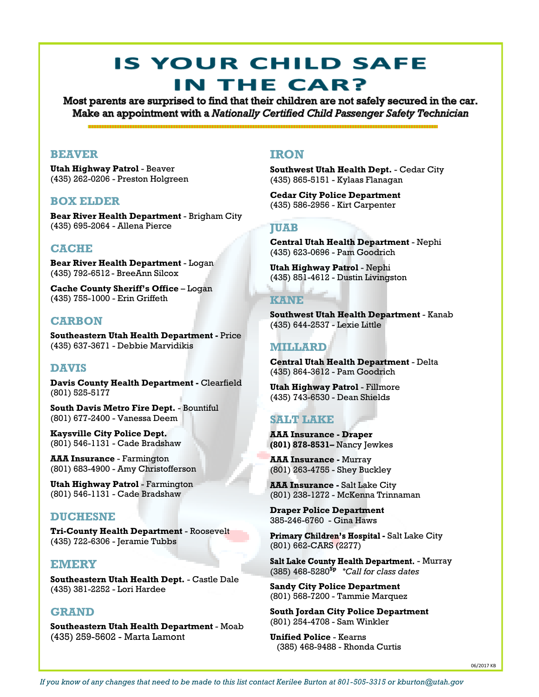# **IS YOUR CHILD SAFE** IN THE CAR?

Most parents are surprised to find that their children are not safely secured in the car. Make an appointment with a Nationally Certified Child Passenger Safety Technician

## **BEAVER**

**Utah Highway Patrol** - Beaver (435) 262-0206 - Preston Holgreen

## **BOX ELDER**

**Bear River Health Department** - Brigham City (435) 695-2064 - Allena Pierce

# **CACHE**

**Bear River Health Department** - Logan (435) 792-6512 - BreeAnn Silcox

**Cache County Sheriff's Office** – Logan (435) 755-1000 - Erin Griffeth

## **CARBON**

**Southeastern Utah Health Department -** Price (435) 637-3671 - Debbie Marvidikis

# **DAVIS**

**Davis County Health Department -** Clearfield (801) 525-5177

**South Davis Metro Fire Dept.** - Bountiful (801) 677-2400 - Vanessa Deem

**Kaysville City Police Dept.** (801) 546-1131 - Cade Bradshaw

**AAA Insurance** - Farmington (801) 683-4900 - Amy Christofferson

**Utah Highway Patrol** - Farmington (801) 546-1131 - Cade Bradshaw

## **DUCHESNE**

**Tri-County Health Department** - Roosevelt (435) 722-6306 - Jeramie Tubbs

## **EMERY**

**Southeastern Utah Health Dept.** - Castle Dale (435) 381-2252 - Lori Hardee

## **GRAND**

**Southeastern Utah Health Department** - Moab (435) 259-5602 - Marta Lamont

## **IRON**

**Southwest Utah Health Dept.** - Cedar City (435) 865-5151 - Kylaas Flanagan

**Cedar City Police Department**  (435) 586-2956 - Kirt Carpenter

#### **JUAB**

**Central Utah Health Department** - Nephi (435) 623-0696 - Pam Goodrich

**Utah Highway Patrol** - Nephi (435) 851-4612 - Dustin Livingston

#### **KANE**

**Southwest Utah Health Department** - Kanab (435) 644-2537 - Lexie Little

## **MILLARD**

**Central Utah Health Department** - Delta (435) 864-3612 - Pam Goodrich

**Utah Highway Patrol** - Fillmore (435) 743-6530 - Dean Shields

# **SALT LAKE**

**AAA Insurance - Draper (801) 878-8531–** Nancy Jewkes

**AAA Insurance -** Murray (801) 263-4755 - Shey Buckley

**AAA Insurance - Salt Lake City** (801) 238-1272 - McKenna Trinnaman

**Draper Police Department** 385-246-6760 - Gina Haws

Primary Children's Hospital - Salt Lake City (801) 662-CARS (2277)

Salt Lake County Health Department. - Murray (385) 468-5280**Sp** *\*Call for class dates*

**Sandy City Police Department** (801) 568-7200 - Tammie Marquez

**South Jordan City Police Department** (801) 254-4708 - Sam Winkler

**Unified Police** - Kearns (385) 468-9488 - Rhonda Curtis

06/2017 KB